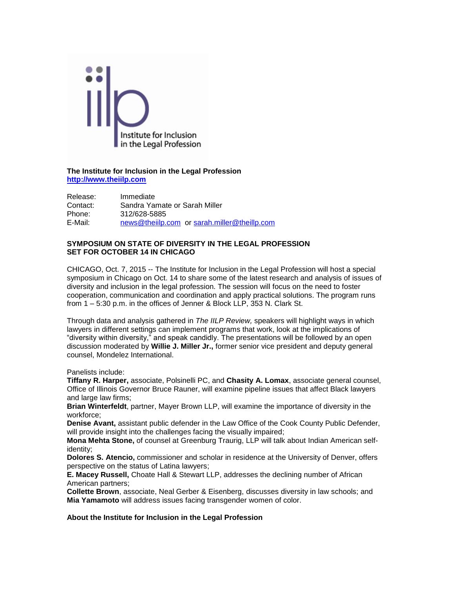

**The Institute for Inclusion in the Legal Profession [http://www.theiilp.com](http://www.theiilp.com/)**

Release: Immediate Contact: Sandra Yamate or Sarah Miller Phone: 312/628-5885 E-Mail: [news@theiilp.com](mailto:news@theiilp.com) or [sarah.miller@theillp.com](mailto:sarah.miller@theillp.com)

## **SYMPOSIUM ON STATE OF DIVERSITY IN THE LEGAL PROFESSION SET FOR OCTOBER 14 IN CHICAGO**

CHICAGO, Oct. 7, 2015 -- The Institute for Inclusion in the Legal Profession will host a special symposium in Chicago on Oct. 14 to share some of the latest research and analysis of issues of diversity and inclusion in the legal profession. The session will focus on the need to foster cooperation, communication and coordination and apply practical solutions. The program runs from 1 – 5:30 p.m. in the offices of Jenner & Block LLP, 353 N. Clark St.

Through data and analysis gathered in *The IILP Review,* speakers will highlight ways in which lawyers in different settings can implement programs that work, look at the implications of "diversity within diversity," and speak candidly. The presentations will be followed by an open discussion moderated by **Willie J. Miller Jr.,** former senior vice president and deputy general counsel, Mondelez International.

Panelists include:

**Tiffany R. Harper,** associate, Polsinelli PC, and **Chasity A. Lomax**, associate general counsel, Office of Illinois Governor Bruce Rauner, will examine pipeline issues that affect Black lawyers and large law firms;

**Brian Winterfeldt**, partner, Mayer Brown LLP, will examine the importance of diversity in the workforce;

**Denise Avant,** assistant public defender in the Law Office of the Cook County Public Defender, will provide insight into the challenges facing the visually impaired;

**Mona Mehta Stone,** of counsel at Greenburg Traurig, LLP will talk about Indian American selfidentity;

**Dolores S. Atencio,** commissioner and scholar in residence at the University of Denver, offers perspective on the status of Latina lawyers;

**E. Macey Russell,** Choate Hall & Stewart LLP, addresses the declining number of African American partners;

**Collette Brown**, associate, Neal Gerber & Eisenberg, discusses diversity in law schools; and **Mia Yamamoto** will address issues facing transgender women of color.

**About the Institute for Inclusion in the Legal Profession**